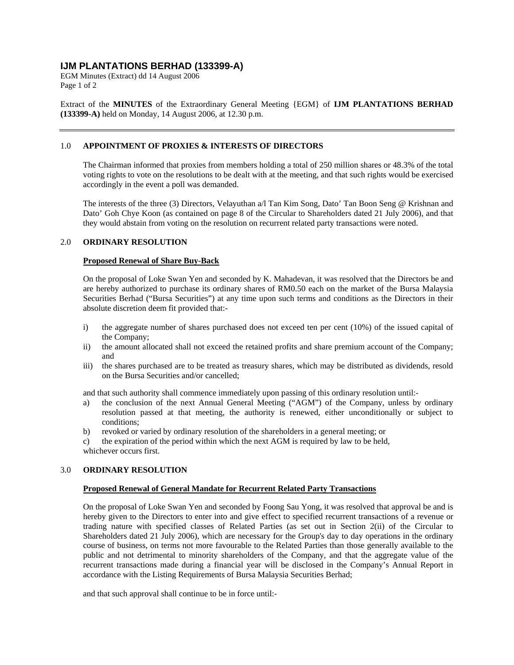# **IJM PLANTATIONS BERHAD (133399-A)**

EGM Minutes (Extract) dd 14 August 2006 Page 1 of 2

Extract of the **MINUTES** of the Extraordinary General Meeting {EGM} of **IJM PLANTATIONS BERHAD (133399-A)** held on Monday, 14 August 2006, at 12.30 p.m.

# 1.0 **APPOINTMENT OF PROXIES & INTERESTS OF DIRECTORS**

The Chairman informed that proxies from members holding a total of 250 million shares or 48.3% of the total voting rights to vote on the resolutions to be dealt with at the meeting, and that such rights would be exercised accordingly in the event a poll was demanded.

The interests of the three (3) Directors, Velayuthan a/l Tan Kim Song, Dato' Tan Boon Seng @ Krishnan and Dato' Goh Chye Koon (as contained on page 8 of the Circular to Shareholders dated 21 July 2006), and that they would abstain from voting on the resolution on recurrent related party transactions were noted.

#### 2.0 **ORDINARY RESOLUTION**

#### **Proposed Renewal of Share Buy-Back**

On the proposal of Loke Swan Yen and seconded by K. Mahadevan, it was resolved that the Directors be and are hereby authorized to purchase its ordinary shares of RM0.50 each on the market of the Bursa Malaysia Securities Berhad ("Bursa Securities") at any time upon such terms and conditions as the Directors in their absolute discretion deem fit provided that:-

- i) the aggregate number of shares purchased does not exceed ten per cent (10%) of the issued capital of the Company;
- ii) the amount allocated shall not exceed the retained profits and share premium account of the Company; and
- iii) the shares purchased are to be treated as treasury shares, which may be distributed as dividends, resold on the Bursa Securities and/or cancelled;

and that such authority shall commence immediately upon passing of this ordinary resolution until:-

- a) the conclusion of the next Annual General Meeting ("AGM") of the Company, unless by ordinary resolution passed at that meeting, the authority is renewed, either unconditionally or subject to conditions;
- b) revoked or varied by ordinary resolution of the shareholders in a general meeting; or

c) the expiration of the period within which the next AGM is required by law to be held, whichever occurs first.

#### 3.0 **ORDINARY RESOLUTION**

#### **Proposed Renewal of General Mandate for Recurrent Related Party Transactions**

On the proposal of Loke Swan Yen and seconded by Foong Sau Yong, it was resolved that approval be and is hereby given to the Directors to enter into and give effect to specified recurrent transactions of a revenue or trading nature with specified classes of Related Parties (as set out in Section 2(ii) of the Circular to Shareholders dated 21 July 2006), which are necessary for the Group's day to day operations in the ordinary course of business, on terms not more favourable to the Related Parties than those generally available to the public and not detrimental to minority shareholders of the Company, and that the aggregate value of the recurrent transactions made during a financial year will be disclosed in the Company's Annual Report in accordance with the Listing Requirements of Bursa Malaysia Securities Berhad;

and that such approval shall continue to be in force until:-